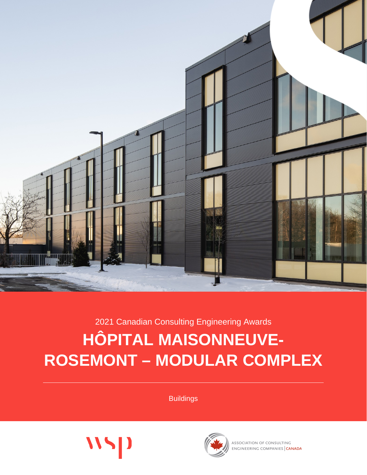

2021 Canadian Consulting Engineering Awards

# **HÔPITAL MAISONNEUVE-ROSEMONT – MODULAR COMPLEX**

**Buildings** 





ASSOCIATION OF CONSULTING ENGINEERING COMPANIES CANADA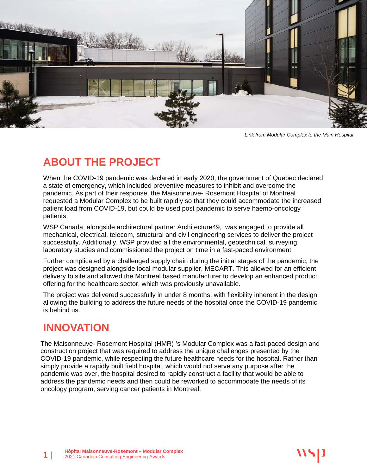

*Link from Modular Complex to the Main Hospital*

# **ABOUT THE PROJECT**

When the COVID-19 pandemic was declared in early 2020, the government of Quebec declared a state of emergency, which included preventive measures to inhibit and overcome the pandemic. As part of their response, the Maisonneuve- Rosemont Hospital of Montreal requested a Modular Complex to be built rapidly so that they could accommodate the increased patient load from COVID-19, but could be used post pandemic to serve haemo-oncology patients.

WSP Canada, alongside architectural partner Architecture49, was engaged to provide all mechanical, electrical, telecom, structural and civil engineering services to deliver the project successfully. Additionally, WSP provided all the environmental, geotechnical, surveying, laboratory studies and commissioned the project on time in a fast-paced environment

Further complicated by a challenged supply chain during the initial stages of the pandemic, the project was designed alongside local modular supplier, MECART. This allowed for an efficient delivery to site and allowed the Montreal based manufacturer to develop an enhanced product offering for the healthcare sector, which was previously unavailable.

The project was delivered successfully in under 8 months, with flexibility inherent in the design, allowing the building to address the future needs of the hospital once the COVID-19 pandemic is behind us.

#### **INNOVATION**

The Maisonneuve- Rosemont Hospital (HMR) 's Modular Complex was a fast-paced design and construction project that was required to address the unique challenges presented by the COVID-19 pandemic, while respecting the future healthcare needs for the hospital. Rather than simply provide a rapidly built field hospital, which would not serve any purpose after the pandemic was over, the hospital desired to rapidly construct a facility that would be able to address the pandemic needs and then could be reworked to accommodate the needs of its oncology program, serving cancer patients in Montreal.

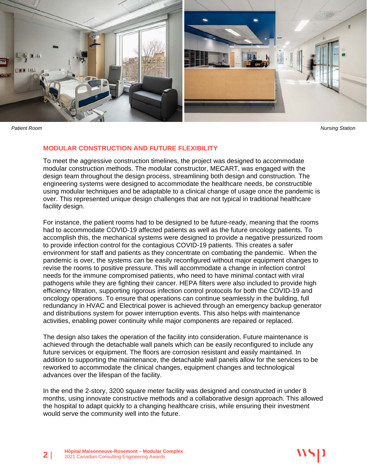

#### **MODULAR CONSTRUCTION AND FUTURE FLEXIBILITY**

To meet the aggressive construction timelines, the project was designed to accommodate modular construction methods. The modular constructor, MECART, was engaged with the design team throughout the design process, streamlining both design and construction. The engineering systems were designed to accommodate the healthcare needs, be constructible using modular techniques and be adaptable to a clinical change of usage once the pandemic is over. This represented unique design challenges that are not typical in traditional healthcare facility design.

For instance, the patient rooms had to be designed to be future-ready, meaning that the rooms had to accommodate COVID-19 affected patients as well as the future oncology patients. To accomplish this, the mechanical systems were designed to provide a negative pressurized room to provide infection control for the contagious COVID-19 patients. This creates a safer environment for staff and patients as they concentrate on combating the pandemic. When the pandemic is over, the systems can be easily reconfigured without major equipment changes to revise the rooms to positive pressure. This will accommodate a change in infection control needs for the immune compromised patients, who need to have minimal contact with viral pathogens while they are fighting their cancer. HEPA filters were also included to provide high efficiency filtration, supporting rigorous infection control protocols for both the COVID-19 and oncology operations. To ensure that operations can continue seamlessly in the building, full redundancy in HVAC and Electrical power is achieved through an emergency backup generator and distributions system for power interruption events. This also helps with maintenance activities, enabling power continuity while major components are repaired or replaced.

The design also takes the operation of the facility into consideration. Future maintenance is achieved through the detachable wall panels which can be easily reconfigured to include any future services or equipment. The floors are corrosion resistant and easily maintained. In addition to supporting the maintenance, the detachable wall panels allow for the services to be reworked to accommodate the clinical changes, equipment changes and technological advances over the lifespan of the facility.

In the end the 2-story, 3200 square meter facility was designed and constructed in under 8 months, using innovate constructive methods and a collaborative design approach. This allowed the hospital to adapt quickly to a changing healthcare crisis, while ensuring their investment would serve the community well into the future.

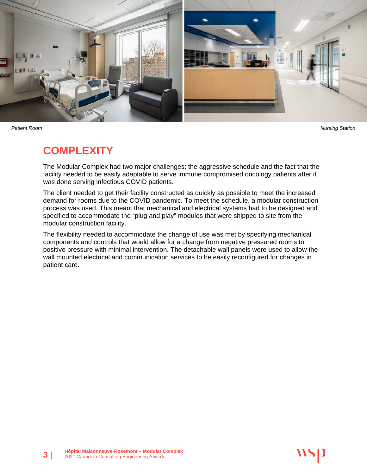

#### **COMPLEXITY**

The Modular Complex had two major challenges; the aggressive schedule and the fact that the facility needed to be easily adaptable to serve immune compromised oncology patients after it was done serving infectious COVID patients.

The client needed to get their facility constructed as quickly as possible to meet the increased demand for rooms due to the COVID pandemic. To meet the schedule, a modular construction process was used. This meant that mechanical and electrical systems had to be designed and specified to accommodate the "plug and play" modules that were shipped to site from the modular construction facility.

The flexibility needed to accommodate the change of use was met by specifying mechanical components and controls that would allow for a change from negative pressured rooms to positive pressure with minimal intervention. The detachable wall panels were used to allow the wall mounted electrical and communication services to be easily reconfigured for changes in patient care.

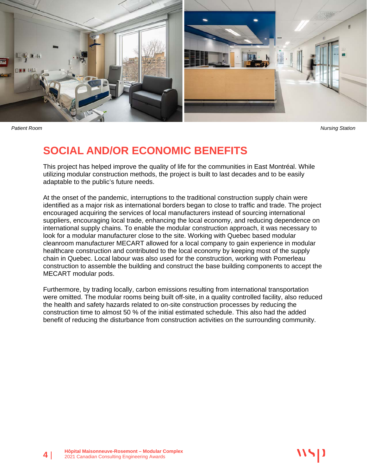

## **SOCIAL AND/OR ECONOMIC BENEFITS**

This project has helped improve the quality of life for the communities in East Montréal. While utilizing modular construction methods, the project is built to last decades and to be easily adaptable to the public's future needs.

At the onset of the pandemic, interruptions to the traditional construction supply chain were identified as a major risk as international borders began to close to traffic and trade. The project encouraged acquiring the services of local manufacturers instead of sourcing international suppliers, encouraging local trade, enhancing the local economy, and reducing dependence on international supply chains. To enable the modular construction approach, it was necessary to look for a modular manufacturer close to the site. Working with Quebec based modular cleanroom manufacturer MECART allowed for a local company to gain experience in modular healthcare construction and contributed to the local economy by keeping most of the supply chain in Quebec. Local labour was also used for the construction, working with Pomerleau construction to assemble the building and construct the base building components to accept the MECART modular pods.

Furthermore, by trading locally, carbon emissions resulting from international transportation were omitted. The modular rooms being built off-site, in a quality controlled facility, also reduced the health and safety hazards related to on-site construction processes by reducing the construction time to almost 50 % of the initial estimated schedule. This also had the added benefit of reducing the disturbance from construction activities on the surrounding community.

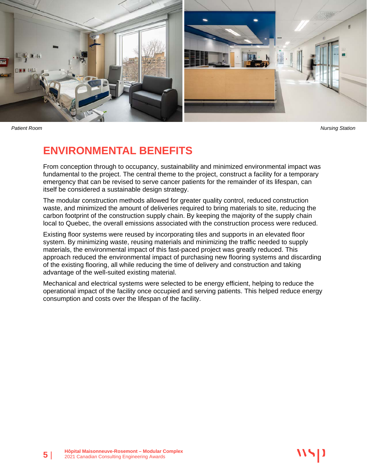

#### **ENVIRONMENTAL BENEFITS**

From conception through to occupancy, sustainability and minimized environmental impact was fundamental to the project. The central theme to the project, construct a facility for a temporary emergency that can be revised to serve cancer patients for the remainder of its lifespan, can itself be considered a sustainable design strategy.

The modular construction methods allowed for greater quality control, reduced construction waste, and minimized the amount of deliveries required to bring materials to site, reducing the carbon footprint of the construction supply chain. By keeping the majority of the supply chain local to Quebec, the overall emissions associated with the construction process were reduced.

Existing floor systems were reused by incorporating tiles and supports in an elevated floor system. By minimizing waste, reusing materials and minimizing the traffic needed to supply materials, the environmental impact of this fast-paced project was greatly reduced. This approach reduced the environmental impact of purchasing new flooring systems and discarding of the existing flooring, all while reducing the time of delivery and construction and taking advantage of the well-suited existing material.

Mechanical and electrical systems were selected to be energy efficient, helping to reduce the operational impact of the facility once occupied and serving patients. This helped reduce energy consumption and costs over the lifespan of the facility.

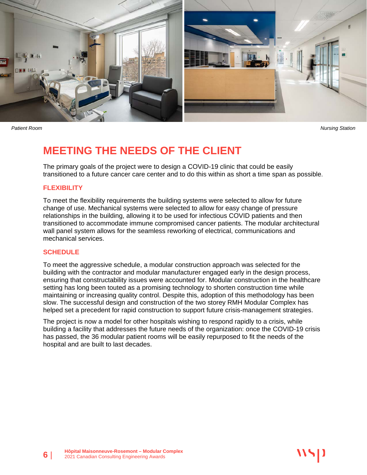

## **MEETING THE NEEDS OF THE CLIENT**

The primary goals of the project were to design a COVID-19 clinic that could be easily transitioned to a future cancer care center and to do this within as short a time span as possible.

#### **FLEXIBILITY**

To meet the flexibility requirements the building systems were selected to allow for future change of use. Mechanical systems were selected to allow for easy change of pressure relationships in the building, allowing it to be used for infectious COVID patients and then transitioned to accommodate immune compromised cancer patients. The modular architectural wall panel system allows for the seamless reworking of electrical, communications and mechanical services.

#### **SCHEDULE**

To meet the aggressive schedule, a modular construction approach was selected for the building with the contractor and modular manufacturer engaged early in the design process, ensuring that constructability issues were accounted for. Modular construction in the healthcare setting has long been touted as a promising technology to shorten construction time while maintaining or increasing quality control. Despite this, adoption of this methodology has been slow. The successful design and construction of the two storey RMH Modular Complex has helped set a precedent for rapid construction to support future crisis-management strategies.

The project is now a model for other hospitals wishing to respond rapidly to a crisis, while building a facility that addresses the future needs of the organization: once the COVID-19 crisis has passed, the 36 modular patient rooms will be easily repurposed to fit the needs of the hospital and are built to last decades.

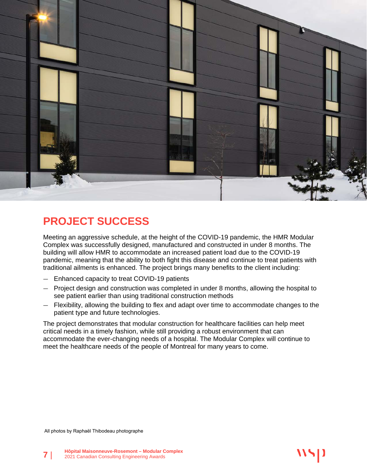

# **PROJECT SUCCESS**

Meeting an aggressive schedule, at the height of the COVID-19 pandemic, the HMR Modular Complex was successfully designed, manufactured and constructed in under 8 months. The building will allow HMR to accommodate an increased patient load due to the COVID-19 pandemic, meaning that the ability to both fight this disease and continue to treat patients with traditional ailments is enhanced. The project brings many benefits to the client including:

- Enhanced capacity to treat COVID-19 patients
- Project design and construction was completed in under 8 months, allowing the hospital to see patient earlier than using traditional construction methods
- Flexibility, allowing the building to flex and adapt over time to accommodate changes to the patient type and future technologies.

The project demonstrates that modular construction for healthcare facilities can help meet critical needs in a timely fashion, while still providing a robust environment that can accommodate the ever-changing needs of a hospital. The Modular Complex will continue to meet the healthcare needs of the people of Montreal for many years to come.

All photos by Raphaël Thibodeau photographe